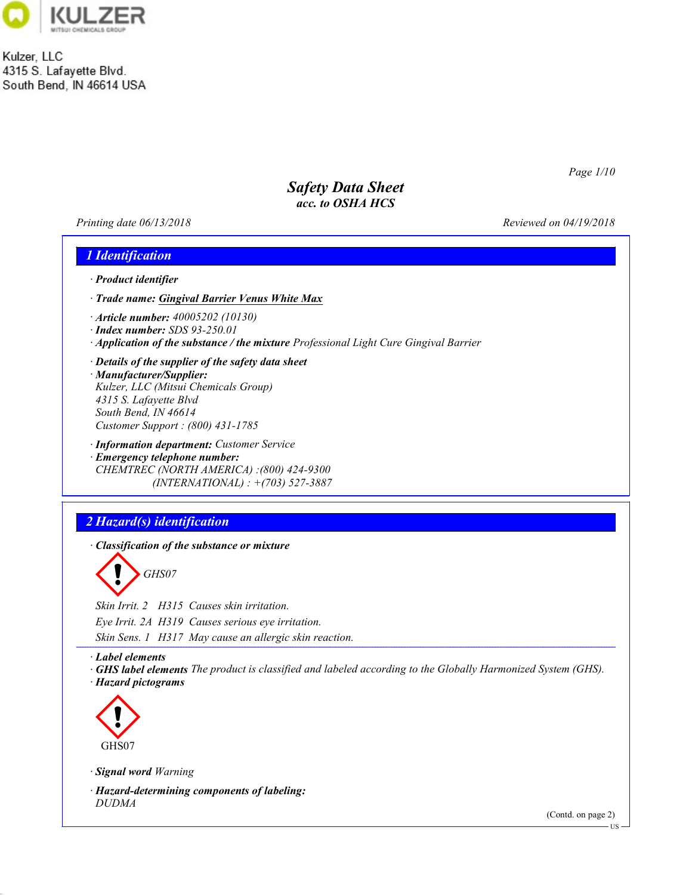

Kulzer, LLC 4315 S. Lafayette Blvd. South Bend, IN 46614 USA

Page 1/10

## Safety Data Sheet acc. to OSHA HCS

Printing date  $06/13/2018$  Reviewed on 04/19/2018



· Hazard-determining components of labeling: DUDMA

47.0.1

(Contd. on page 2)

US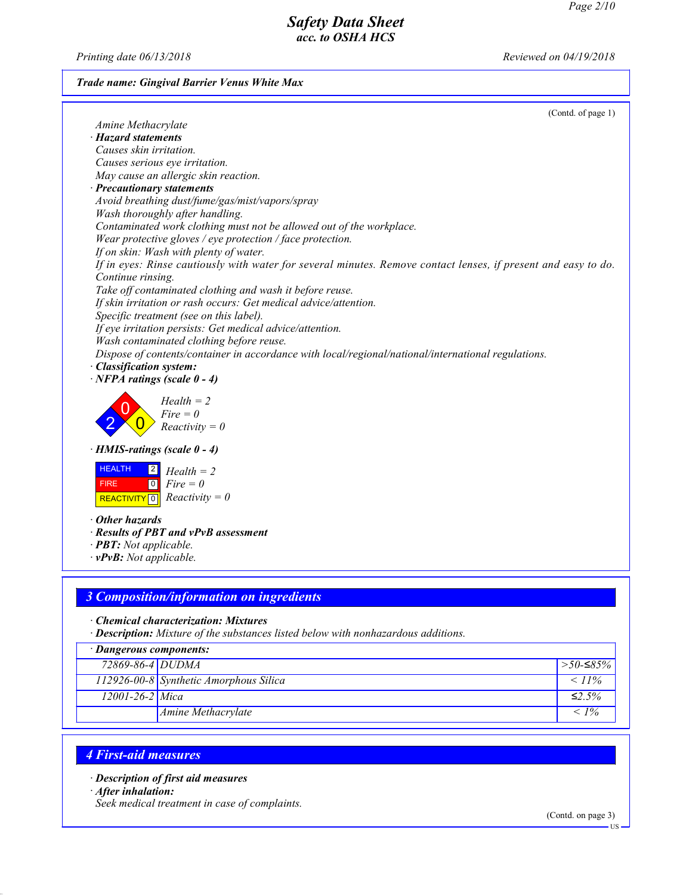Printing date  $06/13/2018$  Reviewed on 04/19/2018

### Trade name: Gingival Barrier Venus White Max

| (Contd. of page 1)<br>Amine Methacrylate                                                                       |
|----------------------------------------------------------------------------------------------------------------|
| $\cdot$ Hazard statements                                                                                      |
| Causes skin irritation.                                                                                        |
| Causes serious eye irritation.                                                                                 |
| May cause an allergic skin reaction.                                                                           |
| · Precautionary statements                                                                                     |
| Avoid breathing dust/fume/gas/mist/vapors/spray                                                                |
| Wash thoroughly after handling.                                                                                |
| Contaminated work clothing must not be allowed out of the workplace.                                           |
| Wear protective gloves / eye protection / face protection.                                                     |
| If on skin: Wash with plenty of water.                                                                         |
| If in eyes: Rinse cautiously with water for several minutes. Remove contact lenses, if present and easy to do. |
| Continue rinsing.                                                                                              |
| Take off contaminated clothing and wash it before reuse.                                                       |
| If skin irritation or rash occurs: Get medical advice/attention.                                               |
| Specific treatment (see on this label).                                                                        |
| If eye irritation persists: Get medical advice/attention.                                                      |
| Wash contaminated clothing before reuse.                                                                       |
| Dispose of contents/container in accordance with local/regional/national/international regulations.            |
| · Classification system:                                                                                       |
| $\cdot$ NFPA ratings (scale 0 - 4)                                                                             |
|                                                                                                                |
| $Health = 2$                                                                                                   |
| $Fire = 0$                                                                                                     |
| $Reactivity = 0$                                                                                               |
| $\cdot$ HMIS-ratings (scale 0 - 4)                                                                             |
|                                                                                                                |
| <b>HEALTH</b><br> 2 <br>$Health = 2$                                                                           |
| $\boxed{0}$<br>$Fire = 0$<br><b>FIRE</b>                                                                       |
| $Reactivity = 0$<br>REACTIVITY <sup>0</sup>                                                                    |
|                                                                                                                |
| $\cdot$ Other hazards                                                                                          |
| · Results of PBT and vPvB assessment<br>· <b>PBT</b> : Not applicable.                                         |
| $\cdot$ vPvB: Not applicable.                                                                                  |
|                                                                                                                |
|                                                                                                                |
| 3 Composition/information on ingredients                                                                       |
|                                                                                                                |
| · Chemical characterization: Mixtures                                                                          |

· Description: Mixture of the substances listed below with nonhazardous additions.

| · Dangerous components: |                                        |              |  |
|-------------------------|----------------------------------------|--------------|--|
| 72869-86-4 DUDMA        |                                        | $>$ 50-≤85%  |  |
|                         | 112926-00-8 Synthetic Amorphous Silica | $< 11\%$     |  |
| $12001 - 26 - 2$ Mica   |                                        | $\leq 2.5\%$ |  |
|                         | Amine Methacrylate                     | $< 1\%$      |  |

# 4 First-aid measures

· Description of first aid measures

· After inhalation:

47.0.1

Seek medical treatment in case of complaints.

(Contd. on page 3)

US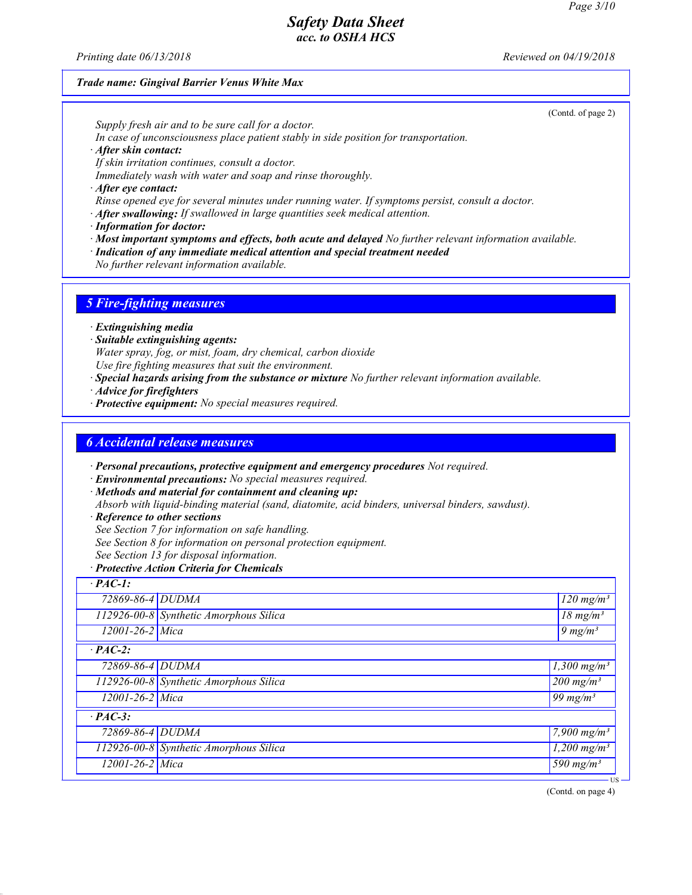(Contd. of page 2)

### Safety Data Sheet acc. to OSHA HCS

Printing date  $06/13/2018$  Reviewed on  $04/19/2018$ 

#### Trade name: Gingival Barrier Venus White Max

Supply fresh air and to be sure call for a doctor.

In case of unconsciousness place patient stably in side position for transportation.

· After skin contact:

If skin irritation continues, consult a doctor.

Immediately wash with water and soap and rinse thoroughly.

· After eye contact:

Rinse opened eye for several minutes under running water. If symptoms persist, consult a doctor.

 $\cdot$  After swallowing: If swallowed in large quantities seek medical attention.

· Information for doctor:

· Most important symptoms and effects, both acute and delayed No further relevant information available.

· Indication of any immediate medical attention and special treatment needed

No further relevant information available.

#### 5 Fire-fighting measures

· Extinguishing media

· Suitable extinguishing agents:

Water spray, fog, or mist, foam, dry chemical, carbon dioxide Use fire fighting measures that suit the environment.

· Special hazards arising from the substance or mixture No further relevant information available.

· Advice for firefighters

· Protective equipment: No special measures required.

### 6 Accidental release measures

· Personal precautions, protective equipment and emergency procedures Not required.

· Environmental precautions: No special measures required.

· Methods and material for containment and cleaning up:

Absorb with liquid-binding material (sand, diatomite, acid binders, universal binders, sawdust).

· Reference to other sections

47.0.1

See Section 7 for information on safe handling.

See Section 8 for information on personal protection equipment.

See Section 13 for disposal information.

#### · Protective Action Criteria for Chemicals

| $\overline{PAC-1}$ :  |                                        |                                  |
|-----------------------|----------------------------------------|----------------------------------|
| 72869-86-4 DUDMA      |                                        | $120$ mg/m <sup>3</sup>          |
|                       | 112926-00-8 Synthetic Amorphous Silica | $\sqrt{18} \text{ mg/m}^3$       |
| $12001 - 26 - 2$ Mica |                                        | $9 \ mg/m3$                      |
| $\cdot$ PAC-2:        |                                        |                                  |
| 72869-86-4 DUDMA      |                                        | 1,300 mg/m <sup>3</sup>          |
|                       | 112926-00-8 Synthetic Amorphous Silica | $\sqrt{200}$ mg/m <sup>3</sup>   |
| 12001-26-2 Mica       |                                        | 99 mg/m $3$                      |
| $\cdot$ PAC-3:        |                                        |                                  |
| 72869-86-4 DUDMA      |                                        | $\sqrt{7,}900 \,\mathrm{mg/m^3}$ |
|                       | 112926-00-8 Synthetic Amorphous Silica | $1,200$ mg/m <sup>3</sup>        |
| $12001 - 26 - 2$ Mica |                                        | $\frac{590}{mg/m^3}$             |
|                       |                                        | . US                             |

(Contd. on page 4)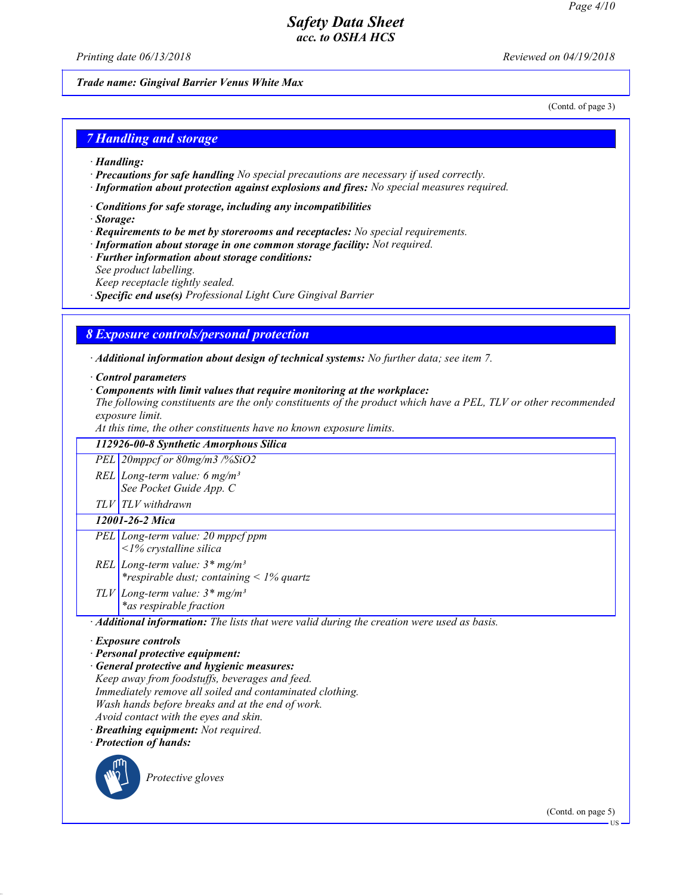Printing date  $06/13/2018$  Reviewed on  $04/19/2018$ 

Trade name: Gingival Barrier Venus White Max

(Contd. of page 3)

### 7 Handling and storage

- · Handling:
- · Precautions for safe handling No special precautions are necessary if used correctly.
- · Information about protection against explosions and fires: No special measures required.
- · Conditions for safe storage, including any incompatibilities
- · Storage:
- · Requirements to be met by storerooms and receptacles: No special requirements.
- · Information about storage in one common storage facility: Not required.
- · Further information about storage conditions:
- See product labelling.
- Keep receptacle tightly sealed.
- · Specific end use(s) Professional Light Cure Gingival Barrier

### 8 Exposure controls/personal protection

· Additional information about design of technical systems: No further data; see item 7.

· Control parameters

· Components with limit values that require monitoring at the workplace:

The following constituents are the only constituents of the product which have a PEL, TLV or other recommended exposure limit.

At this time, the other constituents have no known exposure limits.

| 112926-00-8 Synthetic Amorphous Silica                                                      |  |  |  |
|---------------------------------------------------------------------------------------------|--|--|--|
| PEL 20mppcf or 80mg/m3 /%SiO2                                                               |  |  |  |
| REL Long-term value: 6 mg/m <sup>3</sup>                                                    |  |  |  |
| See Pocket Guide App. C                                                                     |  |  |  |
| TLV TLV withdrawn                                                                           |  |  |  |
| 12001-26-2 Mica                                                                             |  |  |  |
| PEL Long-term value: 20 mppcf ppm                                                           |  |  |  |
| $\langle$ 1% crystalline silica                                                             |  |  |  |
| REL Long-term value: $3*mg/m^3$                                                             |  |  |  |
| <i>*respirable dust; containing &lt; <math>1\%</math> quartz</i>                            |  |  |  |
| TLV Long-term value: $3 * mg/m^3$                                                           |  |  |  |
| *as respirable fraction                                                                     |  |  |  |
| · Additional information: The lists that were valid during the creation were used as basis. |  |  |  |
| $\cdot$ Exposure controls                                                                   |  |  |  |
| · Personal protective equipment:                                                            |  |  |  |
|                                                                                             |  |  |  |

· General protective and hygienic measures: Keep away from foodstuffs, beverages and feed. Immediately remove all soiled and contaminated clothing. Wash hands before breaks and at the end of work. Avoid contact with the eyes and skin.

· Breathing equipment: Not required.

· Protection of hands:



47.0.1

Protective gloves

(Contd. on page 5)

US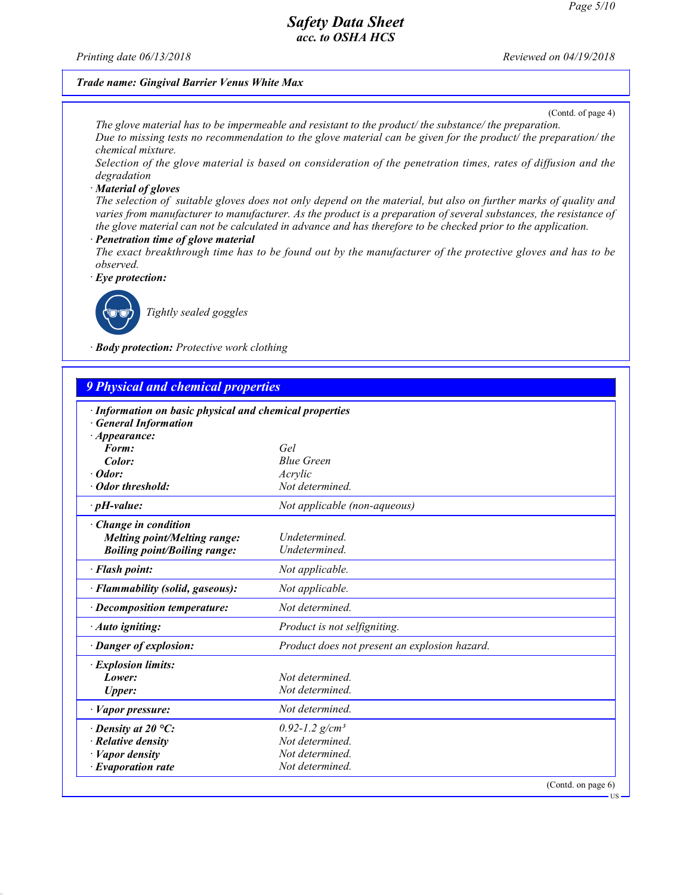Printing date  $06/13/2018$  Reviewed on  $04/19/2018$ 

### Trade name: Gingival Barrier Venus White Max

(Contd. of page 4)

US

The glove material has to be impermeable and resistant to the product/ the substance/ the preparation. Due to missing tests no recommendation to the glove material can be given for the product/ the preparation/ the chemical mixture.

Selection of the glove material is based on consideration of the penetration times, rates of diffusion and the degradation

#### · Material of gloves

The selection of suitable gloves does not only depend on the material, but also on further marks of quality and varies from manufacturer to manufacturer. As the product is a preparation of several substances, the resistance of the glove material can not be calculated in advance and has therefore to be checked prior to the application.

#### Penetration time of glove material

The exact breakthrough time has to be found out by the manufacturer of the protective gloves and has to be observed.

Eye protection:



47.0.1

Tightly sealed goggles

· Body protection: Protective work clothing

| $\cdot$ Information on basic physical and chemical properties<br><b>General Information</b> |                                               |  |
|---------------------------------------------------------------------------------------------|-----------------------------------------------|--|
| $\cdot$ Appearance:                                                                         |                                               |  |
| Form:                                                                                       | Gel                                           |  |
| Color:                                                                                      | <b>Blue Green</b>                             |  |
| $\cdot$ Odor:                                                                               | Acrylic                                       |  |
| · Odor threshold:                                                                           | Not determined.                               |  |
| $\cdot$ pH-value:                                                                           | Not applicable (non-aqueous)                  |  |
| · Change in condition                                                                       |                                               |  |
| Melting point/Melting range:                                                                | <i>Undetermined</i>                           |  |
| <b>Boiling point/Boiling range:</b>                                                         | Undetermined.                                 |  |
| · Flash point:                                                                              | Not applicable.                               |  |
| · Flammability (solid, gaseous):                                                            | Not applicable.                               |  |
| · Decomposition temperature:                                                                | Not determined.                               |  |
| · Auto igniting:                                                                            | Product is not selfigniting.                  |  |
| · Danger of explosion:                                                                      | Product does not present an explosion hazard. |  |
| · Explosion limits:                                                                         |                                               |  |
| Lower:                                                                                      | Not determined.                               |  |
| <b>Upper:</b>                                                                               | Not determined.                               |  |
| · Vapor pressure:                                                                           | Not determined.                               |  |
| $\cdot$ Density at 20 °C:                                                                   | $0.92 - 1.2$ g/cm <sup>3</sup>                |  |
| $\cdot$ Relative density                                                                    | Not determined.                               |  |
| $\cdot$ <i>Vapor density</i>                                                                | Not determined.                               |  |
| $\cdot$ Evaporation rate                                                                    | Not determined.                               |  |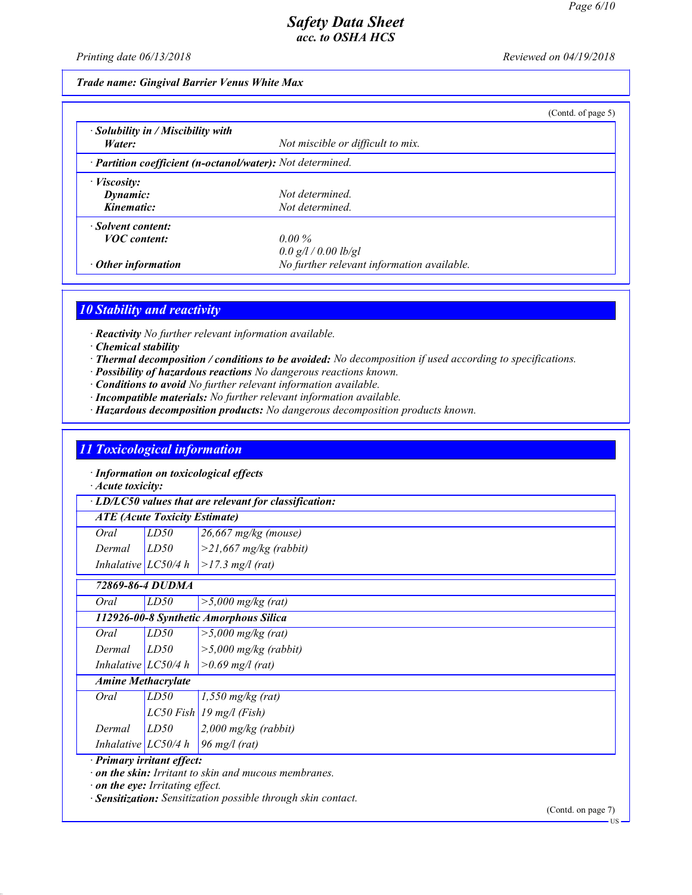Printing date  $06/13/2018$  Reviewed on  $04/19/2018$ 

Trade name: Gingival Barrier Venus White Max

|                                                            |                                            | (Contd. of page $5$ ) |
|------------------------------------------------------------|--------------------------------------------|-----------------------|
| $\cdot$ Solubility in / Miscibility with                   |                                            |                       |
| Water:                                                     | Not miscible or difficult to mix.          |                       |
| · Partition coefficient (n-octanol/water): Not determined. |                                            |                       |
| $\cdot$ <i>Viscosity:</i>                                  |                                            |                       |
| Dynamic:                                                   | Not determined.                            |                       |
| Kinematic:                                                 | Not determined.                            |                       |
| · Solvent content:                                         |                                            |                       |
| <b>VOC</b> content:                                        | $0.00\%$                                   |                       |
|                                                            | 0.0 g/l / 0.00 lb/gl                       |                       |
| $\cdot$ Other information                                  | No further relevant information available. |                       |

### 10 Stability and reactivity

· Reactivity No further relevant information available.

- · Chemical stability
- · Thermal decomposition / conditions to be avoided: No decomposition if used according to specifications.
- · Possibility of hazardous reactions No dangerous reactions known.
- · Conditions to avoid No further relevant information available.
- · Incompatible materials: No further relevant information available.
- · Hazardous decomposition products: No dangerous decomposition products known.

### 11 Toxicological information

· Information on toxicological effects

· Acute toxicity:

· LD/LC50 values that are relevant for classification:

### ATE (Acute Toxicity Estimate)

| Oral            | LD50 | $26,667$ mg/kg (mouse)                    |
|-----------------|------|-------------------------------------------|
| $Dermal$ $LD50$ |      | $\vert$ >21,667 mg/kg (rabbit)            |
|                 |      | Inhalative $ LC50/4 h  > 17.3 mg/l$ (rat) |

|                       | 72869-86-4 DUDMA          |                                        |  |  |
|-----------------------|---------------------------|----------------------------------------|--|--|
| Oral                  | LD50                      | $>$ 5,000 mg/kg (rat)                  |  |  |
|                       |                           | 112926-00-8 Synthetic Amorphous Silica |  |  |
| Oral                  | LD50                      | $>$ 5,000 mg/kg (rat)                  |  |  |
| Dermal                | LD50                      | $>$ 5,000 mg/kg (rabbit)               |  |  |
| Inhalative $LC50/4 h$ |                           | $> 0.69$ mg/l (rat)                    |  |  |
|                       | <b>Amine Methacrylate</b> |                                        |  |  |
| Oral                  | LD50                      | $1,550$ mg/kg (rat)                    |  |  |
|                       |                           | $LC50$ Fish 19 mg/l (Fish)             |  |  |
| Dermal                | LD50                      | $2,000$ mg/kg (rabbit)                 |  |  |
|                       |                           | Inhalative $LC50/4 h$ 96 mg/l (rat)    |  |  |

· Primary irritant effect:

47.0.1

· on the skin: Irritant to skin and mucous membranes.

· on the eye: Irritating effect.

· Sensitization: Sensitization possible through skin contact.

(Contd. on page 7)

US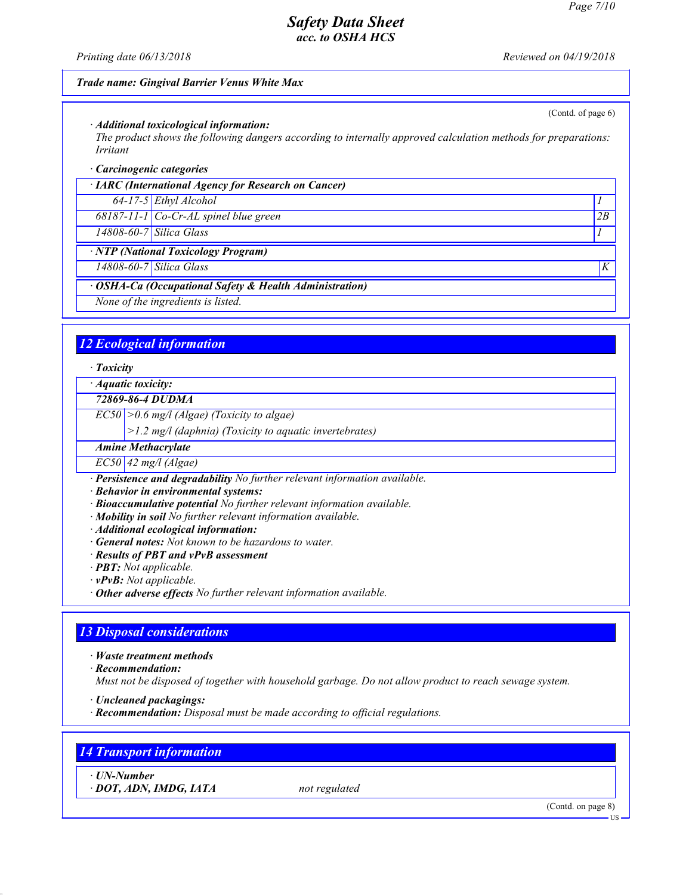(Contd. of page 6)

## Safety Data Sheet acc. to OSHA HCS

Printing date  $06/13/2018$  Reviewed on 04/19/2018

#### Trade name: Gingival Barrier Venus White Max

#### · Additional toxicological information:

The product shows the following dangers according to internally approved calculation methods for preparations: Irritant

#### · Carcinogenic categories

· IARC (International Agency for Research on Cancer)

64-17-5 Ethyl Alcohol 1

68187-11-1 Co-Cr-AL spinel blue green 2B

 $14808-60-7$  Silica Glass 1

· NTP (National Toxicology Program)

 $14808-60-7$  Silica Glass  $K$ 

· OSHA-Ca (Occupational Safety & Health Administration)

None of the ingredients is listed.

### 12 Ecological information

· Toxicity

· Aquatic toxicity:

72869-86-4 DUDMA

 $EC50$  > 0.6 mg/l (Algae) (Toxicity to algae)

>1.2 mg/l (daphnia) (Toxicity to aquatic invertebrates)

Amine Methacrylate

 $EC50$  42 mg/l (Algae)

· Persistence and degradability No further relevant information available.

· Behavior in environmental systems:

- · Bioaccumulative potential No further relevant information available.
- · Mobility in soil No further relevant information available.
- · Additional ecological information:
- · General notes: Not known to be hazardous to water.
- · Results of PBT and vPvB assessment

· PBT: Not applicable.

- $\cdot$  **vPvB:** Not applicable.
- · Other adverse effects No further relevant information available.

### 13 Disposal considerations

· Waste treatment methods

· Recommendation:

Must not be disposed of together with household garbage. Do not allow product to reach sewage system.

- · Uncleaned packagings:
- $\cdot$  **Recommendation:** Disposal must be made according to official regulations.

### 14 Transport information

· UN-Number

47.0.1

 $\cdot$  DOT, ADN, IMDG, IATA not regulated

(Contd. on page 8)

US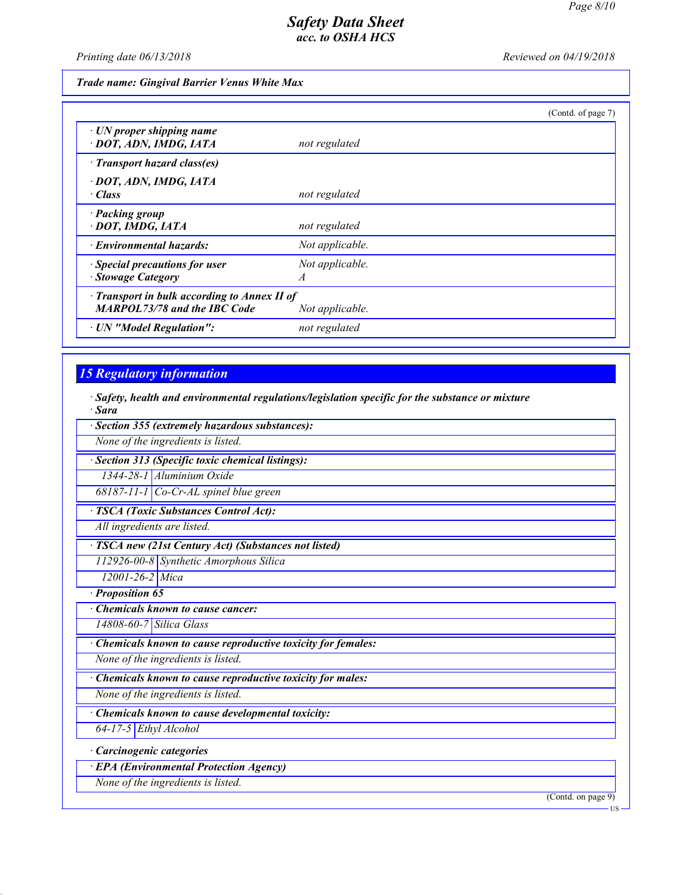Printing date  $06/13/2018$  Reviewed on 04/19/2018

Trade name: Gingival Barrier Venus White Max

|                                                                                     |                                   | (Contd. of page 7) |
|-------------------------------------------------------------------------------------|-----------------------------------|--------------------|
| $\cdot$ UN proper shipping name<br>· DOT, ADN, IMDG, IATA                           | not regulated                     |                    |
| · Transport hazard class(es)                                                        |                                   |                    |
| · DOT, ADN, IMDG, IATA<br>· Class                                                   | not regulated                     |                    |
| · Packing group<br>· DOT, IMDG, IATA                                                | not regulated                     |                    |
| · Environmental hazards:                                                            | Not applicable.                   |                    |
| · Special precautions for user<br>· Stowage Category                                | Not applicable.<br>$\overline{A}$ |                    |
| · Transport in bulk according to Annex II of<br><b>MARPOL73/78 and the IBC Code</b> | Not applicable.                   |                    |
| · UN "Model Regulation":                                                            | not regulated                     |                    |

# 15 Regulatory information

47.0.1

· Safety, health and environmental regulations/legislation specific for the substance or mixture · Sara

| Section 355 (extremely hazardous substances):               |
|-------------------------------------------------------------|
| None of the ingredients is listed.                          |
| Section 313 (Specific toxic chemical listings):             |
| 1344-28-1 Aluminium Oxide                                   |
| $68187-11-1$ Co-Cr-AL spinel blue green                     |
| <b>TSCA</b> (Toxic Substances Control Act):                 |
| All ingredients are listed.                                 |
| · TSCA new (21st Century Act) (Substances not listed)       |
| 112926-00-8 Synthetic Amorphous Silica                      |
| 12001-26-2 Mica                                             |
| Proposition 65                                              |
| <b>Chemicals known to cause cancer:</b>                     |
| 14808-60-7 Silica Glass                                     |
| Chemicals known to cause reproductive toxicity for females: |
| None of the ingredients is listed.                          |
| Chemicals known to cause reproductive toxicity for males:   |
| None of the ingredients is listed.                          |
| · Chemicals known to cause developmental toxicity:          |
| 64-17-5 Ethyl Alcohol                                       |
| · Carcinogenic categories                                   |
| <b>EPA</b> (Environmental Protection Agency)                |
| None of the ingredients is listed.                          |
| (Contd. on page 9)                                          |
| - US                                                        |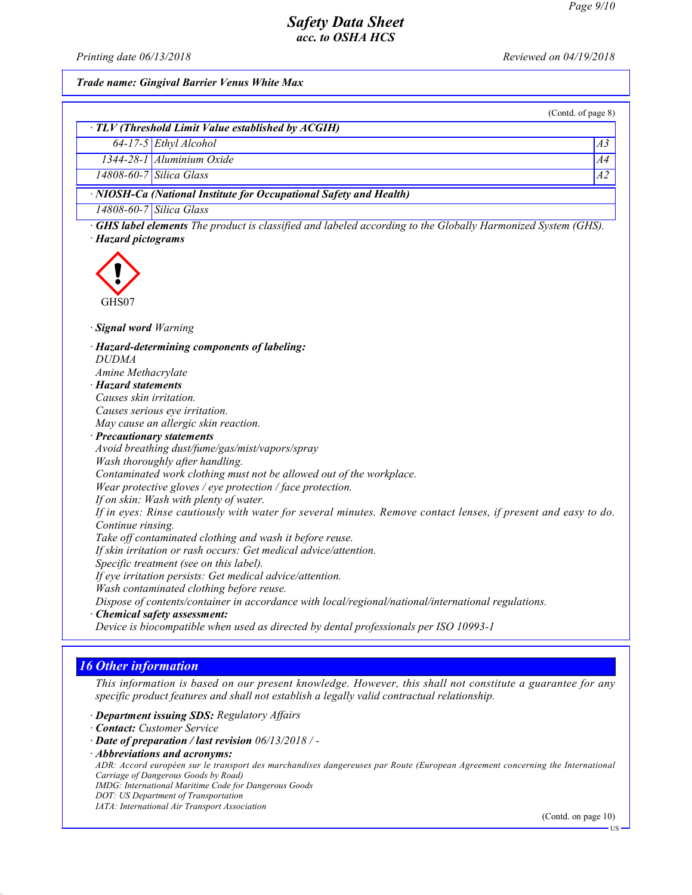Printing date  $06/13/2018$  Reviewed on  $04/19/2018$ 

Trade name: Gingival Barrier Venus White Max

|                                                                                                                                           | (Contd. of page 8) |
|-------------------------------------------------------------------------------------------------------------------------------------------|--------------------|
| · TLV (Threshold Limit Value established by ACGIH)                                                                                        |                    |
| 64-17-5 Ethyl Alcohol                                                                                                                     | A3                 |
| 1344-28-1 Aluminium Oxide                                                                                                                 | A4                 |
| 14808-60-7 Silica Glass                                                                                                                   | $\overline{A2}$    |
| · NIOSH-Ca (National Institute for Occupational Safety and Health)                                                                        |                    |
| 14808-60-7 Silica Glass                                                                                                                   |                    |
| <b>GHS label elements</b> The product is classified and labeled according to the Globally Harmonized System (GHS).<br>· Hazard pictograms |                    |
| GHS07<br>· Signal word Warning                                                                                                            |                    |
|                                                                                                                                           |                    |
| · Hazard-determining components of labeling:                                                                                              |                    |
| <b>DUDMA</b><br>Amine Methacrylate                                                                                                        |                    |
| · Hazard statements                                                                                                                       |                    |
| Causes skin irritation.                                                                                                                   |                    |
| Causes serious eye irritation.                                                                                                            |                    |
| May cause an allergic skin reaction.                                                                                                      |                    |
| · Precautionary statements                                                                                                                |                    |
| Avoid breathing dust/fume/gas/mist/vapors/spray                                                                                           |                    |
| Wash thoroughly after handling.                                                                                                           |                    |
| Contaminated work clothing must not be allowed out of the workplace.                                                                      |                    |
| Wear protective gloves / eye protection / face protection.                                                                                |                    |
| If on skin: Wash with plenty of water.                                                                                                    |                    |
| If in eyes: Rinse cautiously with water for several minutes. Remove contact lenses, if present and easy to do.                            |                    |
| Continue rinsing.                                                                                                                         |                    |
| Take off contaminated clothing and wash it before reuse.                                                                                  |                    |
| If skin irritation or rash occurs: Get medical advice/attention.                                                                          |                    |
| Specific treatment (see on this label).                                                                                                   |                    |
| If eye irritation persists: Get medical advice/attention.                                                                                 |                    |
| Wash contaminated clothing before reuse.                                                                                                  |                    |
| Dispose of contents/container in accordance with local/regional/national/international regulations.                                       |                    |
| · Chemical safety assessment:                                                                                                             |                    |
| Device is biocompatible when used as directed by dental professionals per ISO 10993-1                                                     |                    |

## 16 Other information

47.0.1

This information is based on our present knowledge. However, this shall not constitute a guarantee for any specific product features and shall not establish a legally valid contractual relationship.

- · Department issuing SDS: Regulatory Affairs
- · Contact: Customer Service
- · Date of preparation / last revision 06/13/2018 / -
- · Abbreviations and acronyms:

ADR: Accord européen sur le transport des marchandises dangereuses par Route (European Agreement concerning the International Carriage of Dangerous Goods by Road)

IMDG: International Maritime Code for Dangerous Goods

DOT: US Department of Transportation

IATA: International Air Transport Association

(Contd. on page 10)